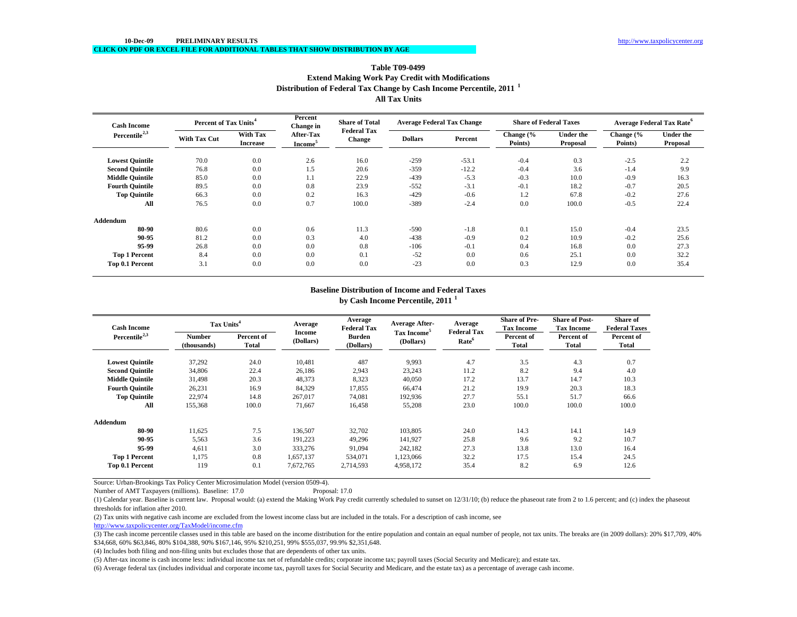### **Distribution of Federal Tax Change by Cash Income Percentile, 2011 <sup>1</sup> All Tax UnitsTable T09-0499Extend Making Work Pay Credit with Modifications**

| <b>Cash Income</b><br>Percentile <sup>2,3</sup> |                     | Percent of Tax Units <sup>4</sup>  |                                  | Percent<br><b>Share of Total</b><br>Change in |                | <b>Average Federal Tax Change</b> |                      | <b>Share of Federal Taxes</b> |                                 | <b>Average Federal Tax Rate<sup>6</sup></b> |  |
|-------------------------------------------------|---------------------|------------------------------------|----------------------------------|-----------------------------------------------|----------------|-----------------------------------|----------------------|-------------------------------|---------------------------------|---------------------------------------------|--|
|                                                 | <b>With Tax Cut</b> | <b>With Tax</b><br><b>Increase</b> | After-Tax<br>Income <sup>5</sup> | <b>Federal Tax</b><br><b>Change</b>           | <b>Dollars</b> | Percent                           | Change (%<br>Points) | Under the<br>Proposal         | Change $\frac{6}{6}$<br>Points) | <b>Under the</b><br>Proposal                |  |
| <b>Lowest Quintile</b>                          | 70.0                | 0.0                                | 2.6                              | 16.0                                          | $-259$         | $-53.1$                           | $-0.4$               | 0.3                           | $-2.5$                          | 2.2                                         |  |
| <b>Second Quintile</b>                          | 76.8                | 0.0                                | 1.5                              | 20.6                                          | $-359$         | $-12.2$                           | $-0.4$               | 3.6                           | $-1.4$                          | 9.9                                         |  |
| <b>Middle Ouintile</b>                          | 85.0                | 0.0                                | 1.1                              | 22.9                                          | $-439$         | $-5.3$                            | $-0.3$               | 10.0                          | $-0.9$                          | 16.3                                        |  |
| <b>Fourth Quintile</b>                          | 89.5                | 0.0                                | 0.8                              | 23.9                                          | $-552$         | $-3.1$                            | $-0.1$               | 18.2                          | $-0.7$                          | 20.5                                        |  |
| <b>Top Quintile</b>                             | 66.3                | 0.0                                | 0.2                              | 16.3                                          | $-429$         | $-0.6$                            | 1.2                  | 67.8                          | $-0.2$                          | 27.6                                        |  |
| All                                             | 76.5                | 0.0                                | 0.7                              | 100.0                                         | $-389$         | $-2.4$                            | 0.0                  | 100.0                         | $-0.5$                          | 22.4                                        |  |
| <b>Addendum</b>                                 |                     |                                    |                                  |                                               |                |                                   |                      |                               |                                 |                                             |  |
| 80-90                                           | 80.6                | 0.0                                | 0.6                              | 11.3                                          | $-590$         | $-1.8$                            | 0.1                  | 15.0                          | $-0.4$                          | 23.5                                        |  |
| 90-95                                           | 81.2                | 0.0                                | 0.3                              | 4.0                                           | $-438$         | $-0.9$                            | 0.2                  | 10.9                          | $-0.2$                          | 25.6                                        |  |
| 95-99                                           | 26.8                | 0.0                                | 0.0                              | 0.8                                           | $-106$         | $-0.1$                            | 0.4                  | 16.8                          | 0.0                             | 27.3                                        |  |
| <b>Top 1 Percent</b>                            | 8.4                 | 0.0                                | 0.0                              | 0.1                                           | $-52$          | 0.0                               | 0.6                  | 25.1                          | 0.0                             | 32.2                                        |  |
| Top 0.1 Percent                                 | 3.1                 | 0.0                                | 0.0                              | 0.0                                           | $-23$          | 0.0                               | 0.3                  | 12.9                          | 0.0                             | 35.4                                        |  |

#### **Baseline Distribution of Income and Federal Taxes**

**by Cash Income Percentile, 2011 <sup>1</sup>**

| <b>Cash Income</b>        | Tax Units <sup>4</sup>       |                     | Average             | Average<br><b>Federal Tax</b> | <b>Average After-</b>                | Average<br><b>Federal Tax</b> | <b>Share of Pre-</b><br><b>Tax Income</b> | <b>Share of Post-</b><br><b>Tax Income</b> | Share of<br><b>Federal Taxes</b> |
|---------------------------|------------------------------|---------------------|---------------------|-------------------------------|--------------------------------------|-------------------------------|-------------------------------------------|--------------------------------------------|----------------------------------|
| Percentile <sup>2,3</sup> | <b>Number</b><br>(thousands) | Percent of<br>Total | Income<br>(Dollars) | <b>Burden</b><br>(Dollars)    | Tax Income <sup>5</sup><br>(Dollars) | Rate <sup>6</sup>             | Percent of<br>Total                       | Percent of<br>Total                        | Percent of<br>Total              |
| <b>Lowest Quintile</b>    | 37,292                       | 24.0                | 10,481              | 487                           | 9,993                                | 4.7                           | 3.5                                       | 4.3                                        | 0.7                              |
| <b>Second Quintile</b>    | 34,806                       | 22.4                | 26,186              | 2,943                         | 23,243                               | 11.2                          | 8.2                                       | 9.4                                        | 4.0                              |
| <b>Middle Quintile</b>    | 31,498                       | 20.3                | 48,373              | 8,323                         | 40,050                               | 17.2                          | 13.7                                      | 14.7                                       | 10.3                             |
| <b>Fourth Quintile</b>    | 26,231                       | 16.9                | 84,329              | 17,855                        | 66.474                               | 21.2                          | 19.9                                      | 20.3                                       | 18.3                             |
| <b>Top Quintile</b>       | 22,974                       | 14.8                | 267,017             | 74,081                        | 192,936                              | 27.7                          | 55.1                                      | 51.7                                       | 66.6                             |
| All                       | 155,368                      | 100.0               | 71,667              | 16,458                        | 55,208                               | 23.0                          | 100.0                                     | 100.0                                      | 100.0                            |
| Addendum                  |                              |                     |                     |                               |                                      |                               |                                           |                                            |                                  |
| 80-90                     | 11,625                       | 7.5                 | 136,507             | 32,702                        | 103,805                              | 24.0                          | 14.3                                      | 14.1                                       | 14.9                             |
| 90-95                     | 5,563                        | 3.6                 | 191,223             | 49,296                        | 141,927                              | 25.8                          | 9.6                                       | 9.2                                        | 10.7                             |
| 95.99                     | 4,611                        | 3.0                 | 333,276             | 91,094                        | 242,182                              | 27.3                          | 13.8                                      | 13.0                                       | 16.4                             |
| <b>Top 1 Percent</b>      | 1,175                        | 0.8                 | 1,657,137           | 534,071                       | 1,123,066                            | 32.2                          | 17.5                                      | 15.4                                       | 24.5                             |
| Top 0.1 Percent           | 119                          | 0.1                 | 7,672,765           | 2,714,593                     | 4,958,172                            | 35.4                          | 8.2                                       | 6.9                                        | 12.6                             |

Source: Urban-Brookings Tax Policy Center Microsimulation Model (version 0509-4).

Number of AMT Taxpayers (millions). Baseline: 17.0 Proposal: 17.0

(1) Calendar year. Baseline is current law. Proposal would: (a) extend the Making Work Pay credit currently scheduled to sunset on 12/31/10; (b) reduce the phaseout rate from 2 to 1.6 percent; and (c) index the phaseout thresholds for inflation after 2010.

(2) Tax units with negative cash income are excluded from the lowest income class but are included in the totals. For a description of cash income, see

http://www.taxpolicycenter.org/TaxModel/income.cfm

(3) The cash income percentile classes used in this table are based on the income distribution for the entire population and contain an equal number of people, not tax units. The breaks are (in 2009 dollars): 20% \$17,709, \$34,668, 60% \$63,846, 80% \$104,388, 90% \$167,146, 95% \$210,251, 99% \$555,037, 99.9% \$2,351,648.

(4) Includes both filing and non-filing units but excludes those that are dependents of other tax units.

(5) After-tax income is cash income less: individual income tax net of refundable credits; corporate income tax; payroll taxes (Social Security and Medicare); and estate tax.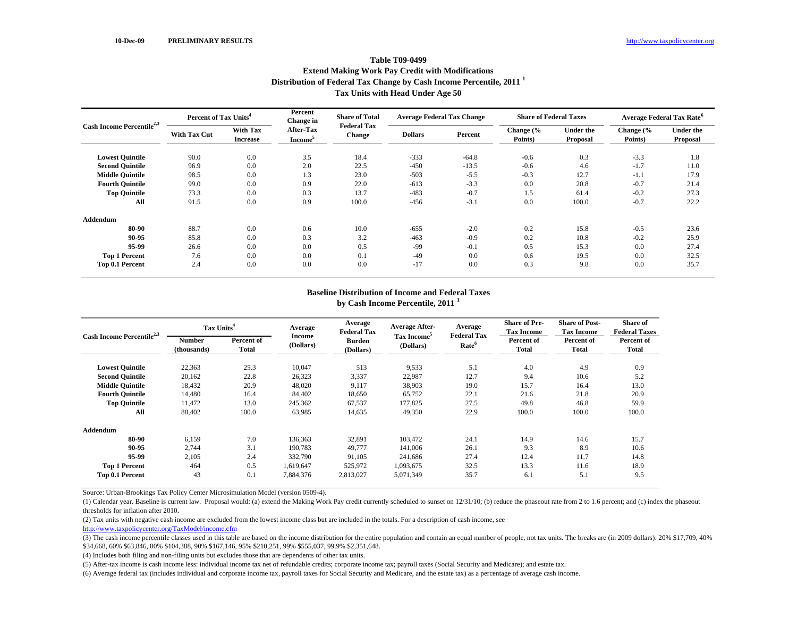# **Distribution of Federal Tax Change by Cash Income Percentile, 2011 <sup>1</sup> Tax Units with Head Under Age 50 Table T09-0499Extend Making Work Pay Credit with Modifications**

| Cash Income Percentile <sup>2,3</sup> | Percent of Tax Units <sup>4</sup> |                                    | Percent<br><b>Change</b> in             | <b>Share of Total</b>               | <b>Average Federal Tax Change</b> |         | <b>Share of Federal Taxes</b> |                              | <b>Average Federal Tax Rate</b> |                       |
|---------------------------------------|-----------------------------------|------------------------------------|-----------------------------------------|-------------------------------------|-----------------------------------|---------|-------------------------------|------------------------------|---------------------------------|-----------------------|
|                                       | With Tax Cut                      | <b>With Tax</b><br><b>Increase</b> | <b>After-Tax</b><br>Income <sup>5</sup> | <b>Federal Tax</b><br><b>Change</b> | <b>Dollars</b>                    | Percent | Change (%<br>Points)          | <b>Under the</b><br>Proposal | Change $\frac{6}{6}$<br>Points) | Under the<br>Proposal |
| <b>Lowest Quintile</b>                | 90.0                              | 0.0                                | 3.5                                     | 18.4                                | $-333$                            | $-64.8$ | $-0.6$                        | 0.3                          | $-3.3$                          | 1.8                   |
| <b>Second Quintile</b>                | 96.9                              | 0.0                                | 2.0                                     | 22.5                                | $-450$                            | $-13.5$ | $-0.6$                        | 4.6                          | $-1.7$                          | 11.0                  |
| <b>Middle Quintile</b>                | 98.5                              | 0.0                                | 1.3                                     | 23.0                                | $-503$                            | $-5.5$  | $-0.3$                        | 12.7                         | $-1.1$                          | 17.9                  |
| <b>Fourth Quintile</b>                | 99.0                              | 0.0                                | 0.9                                     | 22.0                                | $-613$                            | $-3.3$  | 0.0                           | 20.8                         | $-0.7$                          | 21.4                  |
| <b>Top Quintile</b>                   | 73.3                              | 0.0                                | 0.3                                     | 13.7                                | $-483$                            | $-0.7$  | 1.5                           | 61.4                         | $-0.2$                          | 27.3                  |
| All                                   | 91.5                              | 0.0                                | 0.9                                     | 100.0                               | $-456$                            | $-3.1$  | 0.0                           | 100.0                        | $-0.7$                          | 22.2                  |
| <b>Addendum</b>                       |                                   |                                    |                                         |                                     |                                   |         |                               |                              |                                 |                       |
| 80-90                                 | 88.7                              | 0.0                                | 0.6                                     | 10.0                                | $-655$                            | $-2.0$  | 0.2                           | 15.8                         | $-0.5$                          | 23.6                  |
| 90-95                                 | 85.8                              | 0.0                                | 0.3                                     | 3.2                                 | $-463$                            | $-0.9$  | 0.2                           | 10.8                         | $-0.2$                          | 25.9                  |
| 95-99                                 | 26.6                              | 0.0                                | 0.0                                     | 0.5                                 | -99                               | $-0.1$  | 0.5                           | 15.3                         | 0.0                             | 27.4                  |
| <b>Top 1 Percent</b>                  | 7.6                               | 0.0                                | 0.0                                     | 0.1                                 | $-49$                             | 0.0     | 0.6                           | 19.5                         | 0.0                             | 32.5                  |
| Top 0.1 Percent                       | 2.4                               | 0.0                                | 0.0                                     | 0.0                                 | $-17$                             | 0.0     | 0.3                           | 9.8                          | 0.0                             | 35.7                  |

### **Baseline Distribution of Income and Federal Taxes by Cash Income Percentile, 2011 <sup>1</sup>**

|                                       | Tax Units <sup>4</sup> |                     | Average<br>Average<br><b>Federal Tax</b> |                            | <b>Average After-</b>                | Average                                 | <b>Share of Pre-</b><br><b>Tax Income</b> | <b>Share of Post-</b><br><b>Tax Income</b> | <b>Share of</b><br><b>Federal Taxes</b> |
|---------------------------------------|------------------------|---------------------|------------------------------------------|----------------------------|--------------------------------------|-----------------------------------------|-------------------------------------------|--------------------------------------------|-----------------------------------------|
| Cash Income Percentile <sup>2,3</sup> | Number<br>(thousands)  | Percent of<br>Total | Income<br>(Dollars)                      | <b>Burden</b><br>(Dollars) | Tax Income <sup>5</sup><br>(Dollars) | <b>Federal Tax</b><br>Rate <sup>6</sup> | Percent of<br><b>Total</b>                | Percent of<br><b>Total</b>                 | Percent of<br><b>Total</b>              |
| <b>Lowest Quintile</b>                | 22,363                 | 25.3                | 10,047                                   | 513                        | 9,533                                | 5.1                                     | 4.0                                       | 4.9                                        | 0.9                                     |
| <b>Second Quintile</b>                | 20,162                 | 22.8                | 26,323                                   | 3,337                      | 22,987                               | 12.7                                    | 9.4                                       | 10.6                                       | 5.2                                     |
| <b>Middle Quintile</b>                | 18,432                 | 20.9                | 48,020                                   | 9,117                      | 38,903                               | 19.0                                    | 15.7                                      | 16.4                                       | 13.0                                    |
| <b>Fourth Quintile</b>                | 14,480                 | 16.4                | 84,402                                   | 18,650                     | 65,752                               | 22.1                                    | 21.6                                      | 21.8                                       | 20.9                                    |
| <b>Top Quintile</b>                   | 11,472                 | 13.0                | 245,362                                  | 67,537                     | 177,825                              | 27.5                                    | 49.8                                      | 46.8                                       | 59.9                                    |
| All                                   | 88,402                 | 100.0               | 63,985                                   | 14,635                     | 49,350                               | 22.9                                    | 100.0                                     | 100.0                                      | 100.0                                   |
| <b>Addendum</b>                       |                        |                     |                                          |                            |                                      |                                         |                                           |                                            |                                         |
| 80-90                                 | 6,159                  | 7.0                 | 136,363                                  | 32,891                     | 103.472                              | 24.1                                    | 14.9                                      | 14.6                                       | 15.7                                    |
| 90-95                                 | 2,744                  | 3.1                 | 190,783                                  | 49,777                     | 141,006                              | 26.1                                    | 9.3                                       | 8.9                                        | 10.6                                    |
| 95-99                                 | 2,105                  | 2.4                 | 332,790                                  | 91,105                     | 241,686                              | 27.4                                    | 12.4                                      | 11.7                                       | 14.8                                    |
| <b>Top 1 Percent</b>                  | 464                    | 0.5                 | 1,619,647                                | 525,972                    | 1,093,675                            | 32.5                                    | 13.3                                      | 11.6                                       | 18.9                                    |
| Top 0.1 Percent                       | 43                     | 0.1                 | 7,884,376                                | 2,813,027                  | 5,071,349                            | 35.7                                    | 6.1                                       | 5.1                                        | 9.5                                     |

Source: Urban-Brookings Tax Policy Center Microsimulation Model (version 0509-4).

(1) Calendar year. Baseline is current law. Proposal would: (a) extend the Making Work Pay credit currently scheduled to sunset on 12/31/10; (b) reduce the phaseout rate from 2 to 1.6 percent; and (c) index the phaseout thresholds for inflation after 2010.

(2) Tax units with negative cash income are excluded from the lowest income class but are included in the totals. For a description of cash income, see

http://www.taxpolicycenter.org/TaxModel/income.cfm

(4) Includes both filing and non-filing units but excludes those that are dependents of other tax units.

<sup>(3)</sup> The cash income percentile classes used in this table are based on the income distribution for the entire population and contain an equal number of people, not tax units. The breaks are (in 2009 dollars): 20% \$17,709, \$34,668, 60% \$63,846, 80% \$104,388, 90% \$167,146, 95% \$210,251, 99% \$555,037, 99.9% \$2,351,648.

<sup>(5)</sup> After-tax income is cash income less: individual income tax net of refundable credits; corporate income tax; payroll taxes (Social Security and Medicare); and estate tax.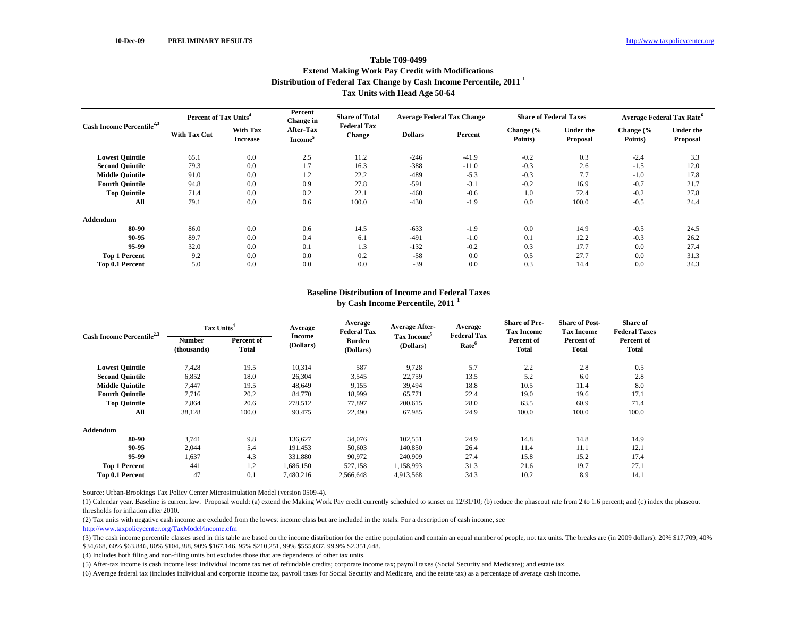# **Distribution of Federal Tax Change by Cash Income Percentile, 2011 <sup>1</sup> Tax Units with Head Age 50-64 Table T09-0499Extend Making Work Pay Credit with Modifications**

| Cash Income Percentile <sup>2,3</sup> | Percent of Tax Units <sup>4</sup> |                                    | Percent<br><b>Change</b> in             | <b>Share of Total</b>               | <b>Average Federal Tax Change</b> |         | <b>Share of Federal Taxes</b> |                              | <b>Average Federal Tax Rate<sup>6</sup></b> |                              |
|---------------------------------------|-----------------------------------|------------------------------------|-----------------------------------------|-------------------------------------|-----------------------------------|---------|-------------------------------|------------------------------|---------------------------------------------|------------------------------|
|                                       | <b>With Tax Cut</b>               | <b>With Tax</b><br><b>Increase</b> | <b>After-Tax</b><br>Income <sup>5</sup> | <b>Federal Tax</b><br><b>Change</b> | <b>Dollars</b>                    | Percent | Change (%<br>Points)          | <b>Under the</b><br>Proposal | Change (%<br>Points)                        | <b>Under the</b><br>Proposal |
| <b>Lowest Quintile</b>                | 65.1                              | 0.0                                | 2.5                                     | 11.2                                | $-246$                            | $-41.9$ | $-0.2$                        | 0.3                          | $-2.4$                                      | 3.3                          |
| <b>Second Quintile</b>                | 79.3                              | 0.0                                | 1.7                                     | 16.3                                | $-388$                            | $-11.0$ | $-0.3$                        | 2.6                          | $-1.5$                                      | 12.0                         |
| <b>Middle Quintile</b>                | 91.0                              | 0.0                                | 1.2                                     | 22.2                                | $-489$                            | $-5.3$  | $-0.3$                        | 7.7                          | $-1.0$                                      | 17.8                         |
| <b>Fourth Quintile</b>                | 94.8                              | 0.0                                | 0.9                                     | 27.8                                | $-591$                            | $-3.1$  | $-0.2$                        | 16.9                         | $-0.7$                                      | 21.7                         |
| <b>Top Quintile</b>                   | 71.4                              | 0.0                                | 0.2                                     | 22.1                                | $-460$                            | $-0.6$  | 1.0                           | 72.4                         | $-0.2$                                      | 27.8                         |
| All                                   | 79.1                              | 0.0                                | 0.6                                     | 100.0                               | $-430$                            | $-1.9$  | 0.0                           | 100.0                        | $-0.5$                                      | 24.4                         |
| <b>Addendum</b>                       |                                   |                                    |                                         |                                     |                                   |         |                               |                              |                                             |                              |
| 80-90                                 | 86.0                              | 0.0                                | 0.6                                     | 14.5                                | $-633$                            | $-1.9$  | 0.0                           | 14.9                         | $-0.5$                                      | 24.5                         |
| 90-95                                 | 89.7                              | 0.0                                | 0.4                                     | 6.1                                 | $-491$                            | $-1.0$  | 0.1                           | 12.2                         | $-0.3$                                      | 26.2                         |
| 95-99                                 | 32.0                              | 0.0                                | 0.1                                     | 1.3                                 | $-132$                            | $-0.2$  | 0.3                           | 17.7                         | 0.0                                         | 27.4                         |
| <b>Top 1 Percent</b>                  | 9.2                               | 0.0                                | 0.0                                     | 0.2                                 | $-58$                             | 0.0     | 0.5                           | 27.7                         | 0.0                                         | 31.3                         |
| Top 0.1 Percent                       | 5.0                               | 0.0                                | 0.0                                     | 0.0                                 | $-39$                             | 0.0     | 0.3                           | 14.4                         | 0.0                                         | 34.3                         |

### **Baseline Distribution of Income and Federal Taxes by Cash Income Percentile, 2011 <sup>1</sup>**

|                                       |                       | Tax Units <sup>4</sup>     |                            | Average<br><b>Federal Tax</b> | <b>Average After-</b>   | Average<br><b>Federal Tax</b> | <b>Share of Pre-</b><br><b>Tax Income</b> | <b>Share of Post-</b><br><b>Tax Income</b>                                                         | <b>Share of</b><br><b>Federal Taxes</b> |
|---------------------------------------|-----------------------|----------------------------|----------------------------|-------------------------------|-------------------------|-------------------------------|-------------------------------------------|----------------------------------------------------------------------------------------------------|-----------------------------------------|
| Cash Income Percentile <sup>2,3</sup> | Number<br>(thousands) | Percent of<br><b>Total</b> | <b>Income</b><br>(Dollars) | <b>Burden</b><br>(Dollars)    | Tax Income<br>(Dollars) | Rate <sup>6</sup>             | Percent of<br>Total                       | Percent of<br>Total<br>2.8<br>6.0<br>11.4<br>19.6<br>60.9<br>100.0<br>14.8<br>11.1<br>15.2<br>19.7 | Percent of<br><b>Total</b>              |
| <b>Lowest Quintile</b>                | 7,428                 | 19.5                       | 10,314                     | 587                           | 9,728                   | 5.7                           | 2.2                                       |                                                                                                    | 0.5                                     |
| <b>Second Quintile</b>                | 6,852                 | 18.0                       | 26,304                     | 3,545                         | 22,759                  | 13.5                          | 5.2                                       |                                                                                                    | 2.8                                     |
| <b>Middle Quintile</b>                | 7.447                 | 19.5                       | 48,649                     | 9,155                         | 39,494                  | 18.8                          | 10.5                                      |                                                                                                    | 8.0                                     |
| <b>Fourth Quintile</b>                | 7,716                 | 20.2                       | 84,770                     | 18,999                        | 65,771                  | 22.4                          | 19.0                                      |                                                                                                    | 17.1                                    |
| <b>Top Quintile</b>                   | 7,864                 | 20.6                       | 278,512                    | 77,897                        | 200,615                 | 28.0                          | 63.5                                      |                                                                                                    | 71.4                                    |
| All                                   | 38,128                | 100.0                      | 90,475                     | 22,490                        | 67,985                  | 24.9                          | 100.0                                     |                                                                                                    | 100.0                                   |
| <b>Addendum</b>                       |                       |                            |                            |                               |                         |                               |                                           |                                                                                                    |                                         |
| 80-90                                 | 3,741                 | 9.8                        | 136,627                    | 34,076                        | 102,551                 | 24.9                          | 14.8                                      |                                                                                                    | 14.9                                    |
| 90-95                                 | 2,044                 | 5.4                        | 191,453                    | 50,603                        | 140,850                 | 26.4                          | 11.4                                      |                                                                                                    | 12.1                                    |
| 95-99                                 | 1,637                 | 4.3                        | 331,880                    | 90,972                        | 240,909                 | 27.4                          | 15.8                                      |                                                                                                    | 17.4                                    |
| <b>Top 1 Percent</b>                  | 441                   | 1.2                        | 1,686,150                  | 527,158                       | 1,158,993               | 31.3                          | 21.6                                      |                                                                                                    | 27.1                                    |
| Top 0.1 Percent                       | 47                    | 0.1                        | 7,480,216                  | 2,566,648                     | 4,913,568               | 34.3                          | 10.2                                      | 8.9                                                                                                | 14.1                                    |

Source: Urban-Brookings Tax Policy Center Microsimulation Model (version 0509-4).

(1) Calendar year. Baseline is current law. Proposal would: (a) extend the Making Work Pay credit currently scheduled to sunset on 12/31/10; (b) reduce the phaseout rate from 2 to 1.6 percent; and (c) index the phaseout thresholds for inflation after 2010.

(2) Tax units with negative cash income are excluded from the lowest income class but are included in the totals. For a description of cash income, see

http://www.taxpolicycenter.org/TaxModel/income.cfm

(4) Includes both filing and non-filing units but excludes those that are dependents of other tax units.

<sup>(3)</sup> The cash income percentile classes used in this table are based on the income distribution for the entire population and contain an equal number of people, not tax units. The breaks are (in 2009 dollars): 20% \$17,709, \$34,668, 60% \$63,846, 80% \$104,388, 90% \$167,146, 95% \$210,251, 99% \$555,037, 99.9% \$2,351,648.

<sup>(5)</sup> After-tax income is cash income less: individual income tax net of refundable credits; corporate income tax; payroll taxes (Social Security and Medicare); and estate tax.